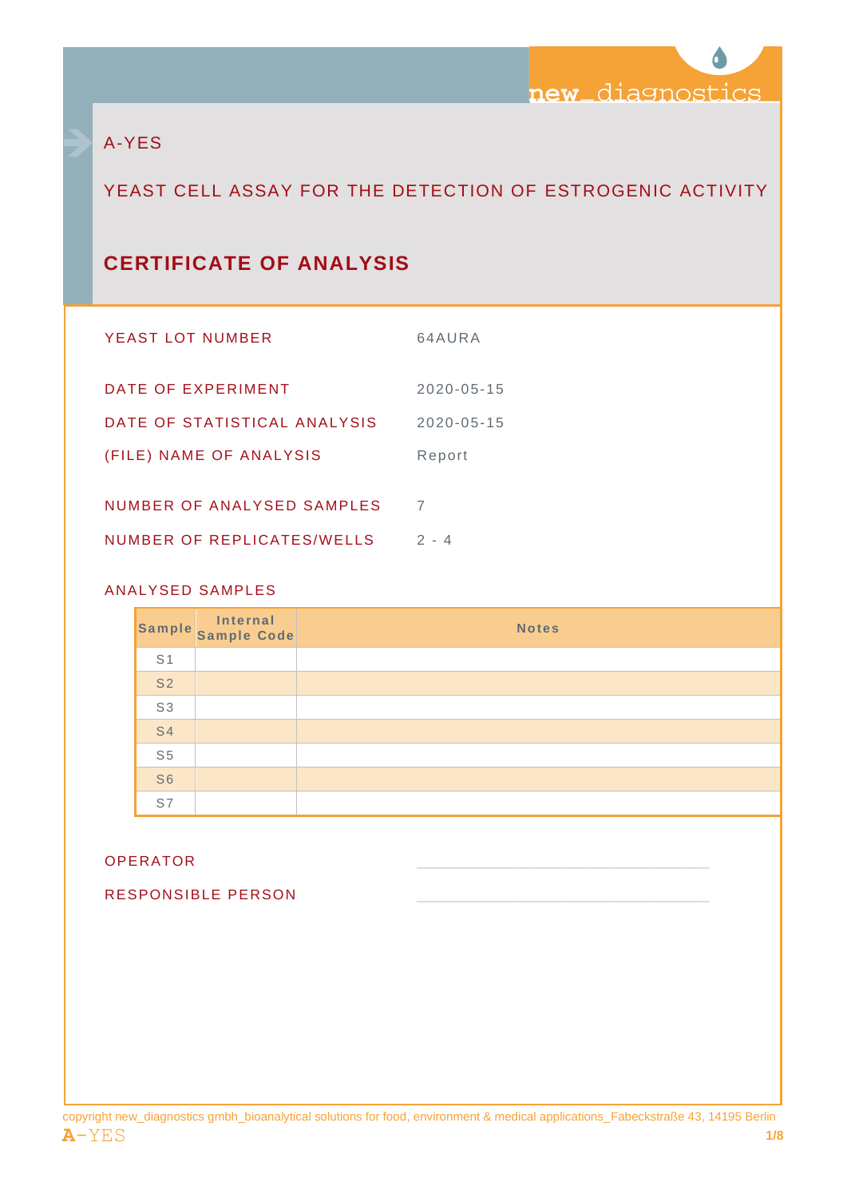

# A-YES

# YEAST CELL ASSAY FOR THE DETECTION OF ESTROGENIC ACTIVITY

# **CERTIFICATE OF ANALYSIS**

| YEAST LOT NUMBER             | 64AURA           |
|------------------------------|------------------|
| DATE OF EXPERIMENT           | $2020 - 05 - 15$ |
| DATE OF STATISTICAL ANALYSIS | $2020 - 05 - 15$ |
| (FILE) NAME OF ANALYSIS      | Report           |
| NUMBER OF ANALYSED SAMPLES   | 7                |
|                              |                  |
| NUMBER OF REPLICATES/WELLS   | $2 - 4$          |

## ANALYSED SAMPLES

|                | Sample Sample Code | <b>Notes</b> |
|----------------|--------------------|--------------|
| S <sub>1</sub> |                    |              |
| S <sub>2</sub> |                    |              |
| S <sub>3</sub> |                    |              |
| <b>S4</b>      |                    |              |
| S <sub>5</sub> |                    |              |
| S <sub>6</sub> |                    |              |
| S7             |                    |              |

#### OPERATOR \_\_\_\_\_\_\_\_\_\_\_\_\_\_\_\_\_\_\_\_\_\_\_\_\_\_\_\_\_\_\_\_\_\_\_\_\_

RESPONSIBLE PERSON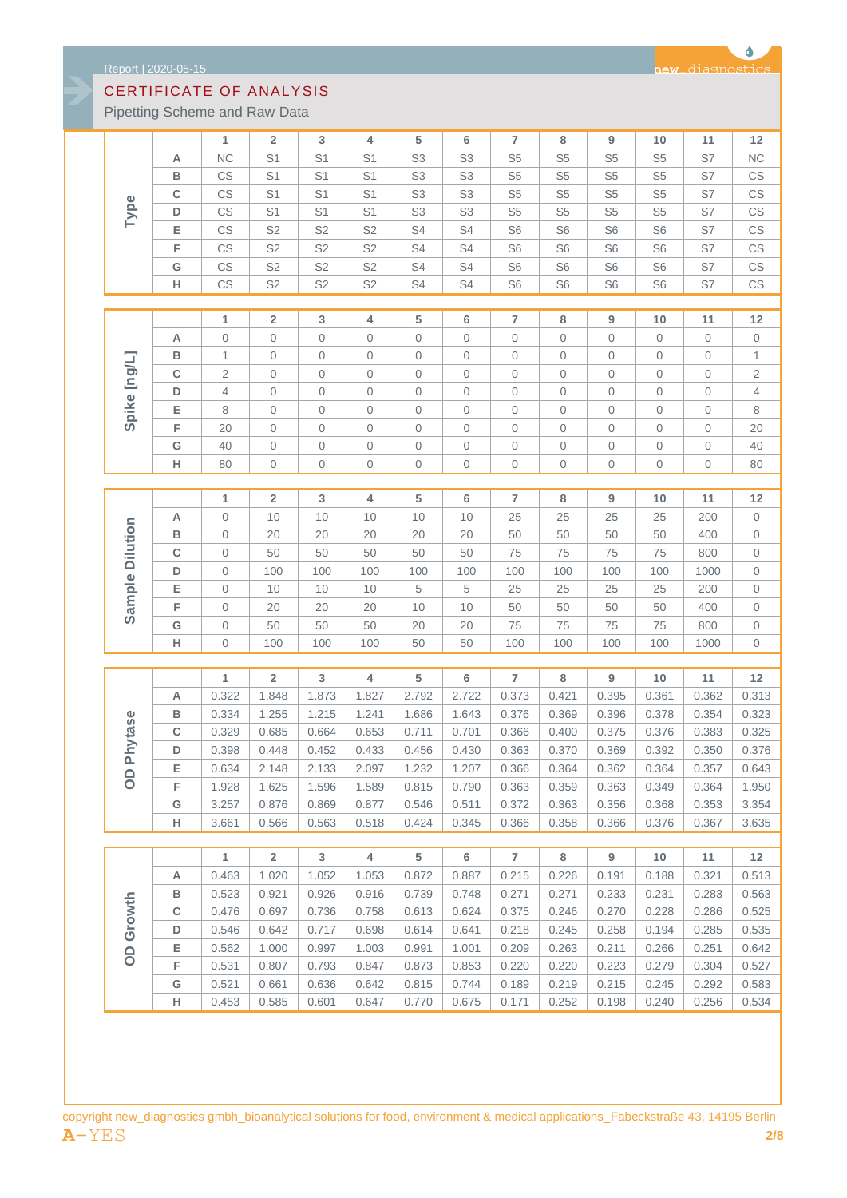Pipetting Scheme and Raw Data

|                 |             | 1              | $\overline{2}$          | 3              | 4              | 5                   | 6              | $\overline{7}$ | 8              | 9                | 10             | 11          | 12                  |
|-----------------|-------------|----------------|-------------------------|----------------|----------------|---------------------|----------------|----------------|----------------|------------------|----------------|-------------|---------------------|
|                 | Α           | <b>NC</b>      | S <sub>1</sub>          | S <sub>1</sub> | S <sub>1</sub> | S <sub>3</sub>      | S <sub>3</sub> | S <sub>5</sub> | S <sub>5</sub> | S <sub>5</sub>   | S <sub>5</sub> | S7          | NC                  |
|                 | В           | CS             | S <sub>1</sub>          | S <sub>1</sub> | S1             | S <sub>3</sub>      | S <sub>3</sub> | S <sub>5</sub> | S <sub>5</sub> | S <sub>5</sub>   | S <sub>5</sub> | S7          | CS                  |
|                 | C           | CS             | S <sub>1</sub>          | S <sub>1</sub> | S <sub>1</sub> | S <sub>3</sub>      | S <sub>3</sub> | S <sub>5</sub> | S <sub>5</sub> | S <sub>5</sub>   | S <sub>5</sub> | S7          | CS                  |
| Type            | D           | CS             | S <sub>1</sub>          | S1             | S <sub>1</sub> | S <sub>3</sub>      | S <sub>3</sub> | S <sub>5</sub> | S <sub>5</sub> | S <sub>5</sub>   | S <sub>5</sub> | S7          | CS                  |
|                 | Ε           | CS             | S <sub>2</sub>          | S <sub>2</sub> | S <sub>2</sub> | S <sub>4</sub>      | S <sub>4</sub> | S <sub>6</sub> | S <sub>6</sub> | S <sub>6</sub>   | S <sub>6</sub> | S7          | CS                  |
|                 | F           | CS             | S <sub>2</sub>          | S <sub>2</sub> | S <sub>2</sub> | S <sub>4</sub>      | S4             | S <sub>6</sub> | S <sub>6</sub> | S <sub>6</sub>   | S <sub>6</sub> | S7          | CS                  |
|                 | G           | CS             | S <sub>2</sub>          | S <sub>2</sub> | S <sub>2</sub> | S <sub>4</sub>      | S <sub>4</sub> | S <sub>6</sub> | S <sub>6</sub> | S <sub>6</sub>   | S <sub>6</sub> | S7          | CS                  |
|                 | н           | CS             | S <sub>2</sub>          | S <sub>2</sub> | S <sub>2</sub> | S <sub>4</sub>      | S4             | S <sub>6</sub> | S <sub>6</sub> | S <sub>6</sub>   | S <sub>6</sub> | S7          | CS                  |
|                 |             |                |                         |                |                |                     |                |                |                |                  |                |             |                     |
|                 |             | $\mathbf{1}$   | $\overline{\mathbf{2}}$ | $\mathbf{3}$   | 4              | 5                   | 6              | $\overline{7}$ | 8              | $\boldsymbol{9}$ | 10             | 11          | 12                  |
|                 | Α           | $\mathbf 0$    | $\mathbf 0$             | 0              | $\mathbf 0$    | $\mathbf 0$         | 0              | $\mathbf 0$    | $\mathbf 0$    | 0                | $\mathbf 0$    | $\theta$    | 0                   |
|                 | B           | 1              | $\mathbf 0$             | 0              | $\mathbf 0$    | $\mathbf 0$         | 0              | $\mathbf 0$    | $\mathbf 0$    | 0                | $\mathbf 0$    | $\mathbf 0$ | 1                   |
|                 |             |                |                         |                |                |                     |                |                |                |                  |                |             |                     |
|                 | $\mathbf C$ | $\overline{2}$ | $\mathbf 0$             | 0              | $\mathbf 0$    | $\mathbf 0$         | 0              | $\mathbf 0$    | $\mathbf 0$    | 0                | $\mathbf 0$    | $\mathbf 0$ | 2                   |
| Spike [ng/L]    | D           | 4              | $\mathbf 0$             | 0              | $\mathbf 0$    | $\mathbf 0$         | 0              | $\mathbf 0$    | $\mathbf 0$    | 0                | $\mathbf 0$    | $\mathbf 0$ | 4                   |
|                 | Ε           | 8              | $\mathbf 0$             | 0              | $\mathbf 0$    | $\sqrt{a}$          | 0              | $\mathbf 0$    | $\mathbf 0$    | $\mathbf 0$      | $\mathbf 0$    | $\mathbf 0$ | 8                   |
|                 | F           | 20             | $\mathbf 0$             | $\mathbf 0$    | $\mathbf 0$    | $\mathbf 0$         | 0              | $\mathbf 0$    | $\mathbf 0$    | $\mathbf 0$      | $\mathbf 0$    | $\mathbf 0$ | 20                  |
|                 | G           | 40             | $\mathbf 0$             | $\mathbf 0$    | $\mathbf 0$    | $\mathbf 0$         | 0              | $\mathbf 0$    | $\mathbf 0$    | 0                | $\mathbf 0$    | $\mathbf 0$ | 40                  |
|                 | н           | 80             | $\mathsf{O}\xspace$     | 0              | $\mathbf 0$    | $\mathsf{O}\xspace$ | 0              | $\mathbf 0$    | $\mathbf 0$    | 0                | $\mathbf 0$    | $\mathbf 0$ | 80                  |
|                 |             |                |                         |                |                |                     |                |                |                |                  |                |             |                     |
|                 |             | 1              | $\overline{2}$          | 3              | 4              | 5                   | 6              | $\overline{7}$ | 8              | 9                | 10             | 11          | 12                  |
|                 | Α           | 0              | 10                      | 10             | 10             | 10                  | 10             | 25             | 25             | 25               | 25             | 200         | $\boldsymbol{0}$    |
|                 | в           | $\mathbf 0$    | 20                      | 20             | 20             | 20                  | 20             | 50             | 50             | 50               | 50             | 400         | 0                   |
|                 | C           | $\mathbf 0$    | 50                      | 50             | 50             | 50                  | 50             | 75             | 75             | 75               | 75             | 800         | 0                   |
| Sample Dilution | D           | $\mathbf 0$    | 100                     | 100            | 100            | 100                 | 100            | 100            | 100            | 100              | 100            | 1000        | 0                   |
|                 | Е           | $\mathbf 0$    | 10                      | 10             | 10             | $\,$ 5 $\,$         | 5              | 25             | 25             | 25               | 25             | 200         | $\mathsf{O}\xspace$ |
|                 | F           | $\mathbf 0$    | 20                      | 20             | 20             | 10                  | 10             | 50             | 50             | 50               | 50             | 400         | 0                   |
|                 | G           | $\mathbf 0$    | 50                      | 50             | 50             | 20                  | 20             | 75             | 75             | 75               | 75             | 800         | 0                   |
|                 | н           | $\mathbf 0$    | 100                     | 100            | 100            | 50                  | 50             | 100            | 100            | 100              | 100            | 1000        | $\mathbf 0$         |
|                 |             |                |                         |                |                |                     |                |                |                |                  |                |             |                     |
|                 |             | 1              | $\mathbf 2$             | $\mathbf{3}$   | 4              | 5                   | 6              | $\overline{7}$ | 8              | $\boldsymbol{9}$ | 10             | 11          | 12                  |
|                 | Α           | 0.322          | 1.848                   | 1.873          | 1.827          | 2.792               | 2.722          | 0.373          | 0.421          | 0.395            | 0.361          | 0.362       | 0.313               |
|                 | в           | 0.334          | 1.255                   | 1.215          | 1.241          | 1.686               | 1.643          | 0.376          | 0.369          | 0.396            | 0.378          | 0.354       | 0.323               |
|                 | c           | 0.329          | 0.685                   | 0.664          | 0.653          | 0.711               | 0.701          | 0.366          | 0.400          | 0.375            | 0.376          | 0.383       | 0.325               |
| Phytase         | D           | 0.398          | 0.448                   | 0.452          | 0.433          | 0.456               | 0.430          | 0.363          | 0.370          | 0.369            | 0.392          | 0.350       | 0.376               |
|                 | Е           | 0.634          | 2.148                   | 2.133          | 2.097          | 1.232               | 1.207          | 0.366          | 0.364          | 0.362            | 0.364          | 0.357       | 0.643               |
| 8               | F           | 1.928          | 1.625                   | 1.596          | 1.589          | 0.815               | 0.790          | 0.363          | 0.359          | 0.363            | 0.349          | 0.364       | 1.950               |
|                 | G           | 3.257          | 0.876                   | 0.869          | 0.877          | 0.546               | 0.511          | 0.372          | 0.363          | 0.356            | 0.368          | 0.353       | 3.354               |
|                 | н           | 3.661          | 0.566                   | 0.563          | 0.518          | 0.424               | 0.345          | 0.366          | 0.358          | 0.366            | 0.376          | 0.367       | 3.635               |
|                 |             |                |                         |                |                |                     |                |                |                |                  |                |             |                     |
|                 |             | 1              | $\overline{\mathbf{2}}$ | $\mathbf{3}$   | $\overline{4}$ | 5                   | 6              | $\overline{7}$ | 8              | 9                | 10             | 11          | $12$                |
|                 | Α           | 0.463          | 1.020                   | 1.052          | 1.053          | 0.872               | 0.887          | 0.215          | 0.226          | 0.191            | 0.188          | 0.321       | 0.513               |
|                 | в           | 0.523          | 0.921                   | 0.926          | 0.916          | 0.739               | 0.748          | 0.271          | 0.271          | 0.233            | 0.231          | 0.283       | 0.563               |
|                 |             |                |                         |                |                |                     |                |                |                |                  |                |             |                     |
|                 | C           | 0.476          | 0.697                   | 0.736          | 0.758          | 0.613               | 0.624          | 0.375          | 0.246          | 0.270            | 0.228          | 0.286       | 0.525               |
|                 | D           | 0.546          | 0.642                   | 0.717          | 0.698          | 0.614               | 0.641          | 0.218          | 0.245          | 0.258            | 0.194          | 0.285       | 0.535               |
| OD Growth       | Е           | 0.562          | 1.000                   | 0.997          | 1.003          | 0.991               | 1.001          | 0.209          | 0.263          | 0.211            | 0.266          | 0.251       | 0.642               |
|                 | F           | 0.531          | 0.807                   | 0.793          | 0.847          | 0.873               | 0.853          | 0.220          | 0.220          | 0.223            | 0.279          | 0.304       | 0.527               |
|                 | G           | 0.521          | 0.661                   | 0.636          | 0.642          | 0.815               | 0.744          | 0.189          | 0.219          | 0.215            | 0.245          | 0.292       | 0.583               |
|                 | н           | 0.453          | 0.585                   | 0.601          | 0.647          | 0.770               | 0.675          | 0.171          | 0.252          | 0.198            | 0.240          | 0.256       | 0.534               |

copyright new\_diagnostics gmbh\_bioanalytical solutions for food, environment & medical applications\_Fabeckstraße 43, 14195 Berlin **A**-YES **2/8**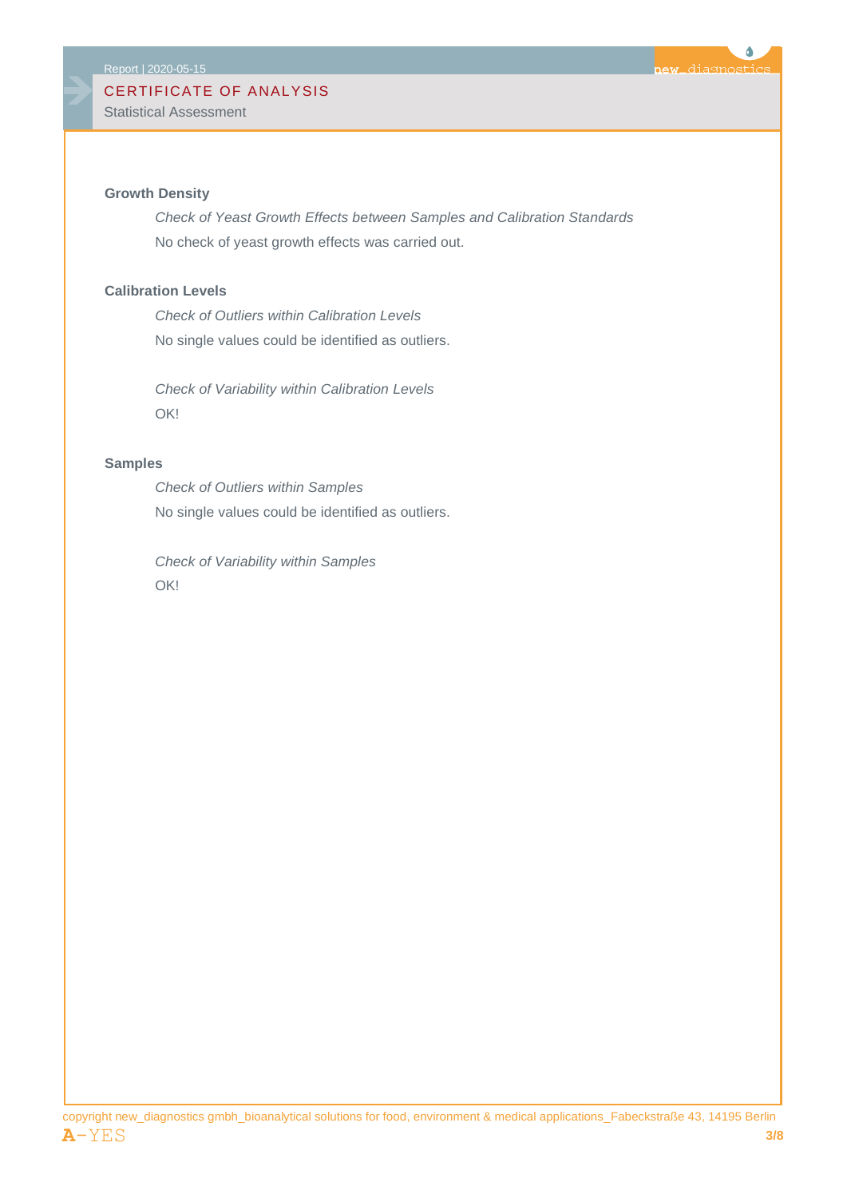Statistical Assessment



*Check of Yeast Growth Effects between Samples and Calibration Standards* No check of yeast growth effects was carried out.

6

diagnostic

**ATA** 

#### **Calibration Levels**

*Check of Outliers within Calibration Levels* No single values could be identified as outliers.

*Check of Variability within Calibration Levels* OK!

#### **Samples**

*Check of Outliers within Samples* No single values could be identified as outliers.

*Check of Variability within Samples* OK!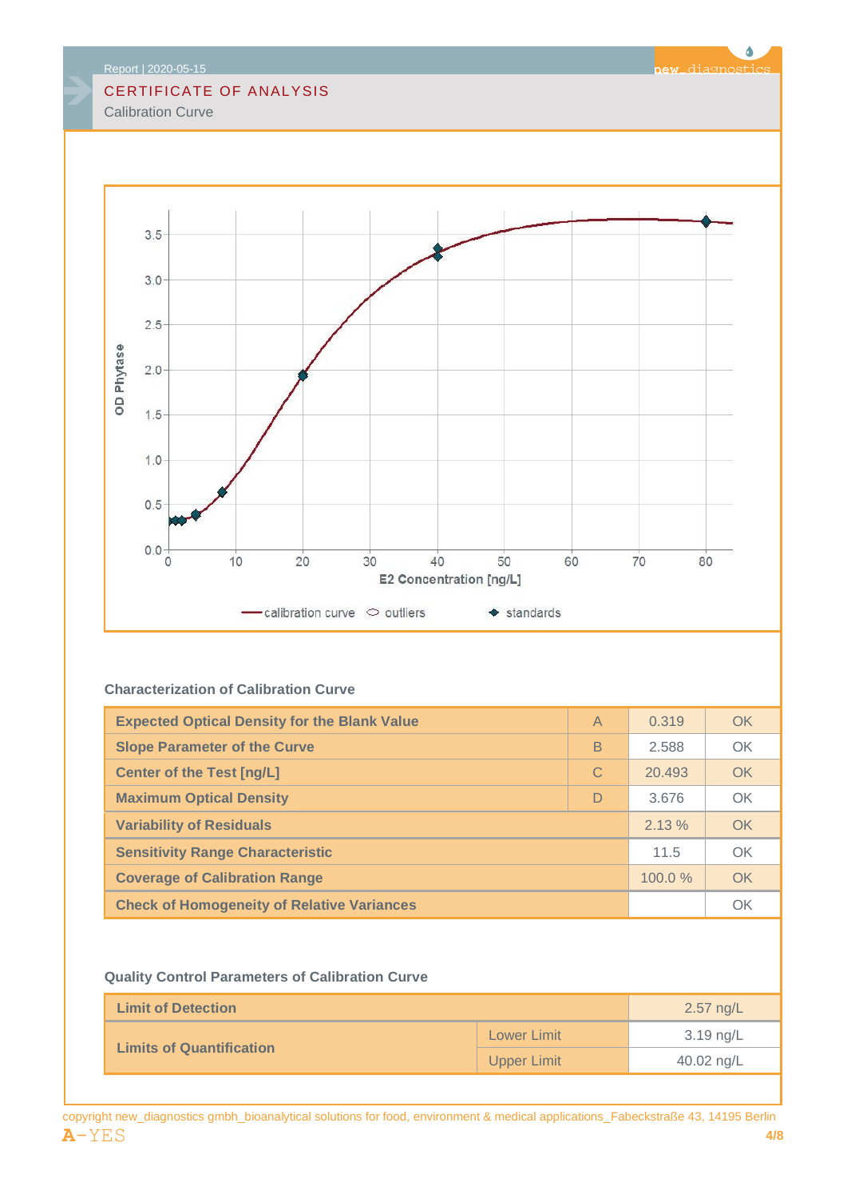Calibration Curve



### **Characterization of Calibration Curve**

| <b>Expected Optical Density for the Blank Value</b> | $\overline{A}$ | 0.319  | OK |
|-----------------------------------------------------|----------------|--------|----|
| <b>Slope Parameter of the Curve</b>                 | B              | 2.588  | OK |
| <b>Center of the Test [ng/L]</b>                    | C              | 20.493 | OK |
| <b>Maximum Optical Density</b>                      | D              | 3.676  | OK |
| <b>Variability of Residuals</b>                     | 2.13%          | OK     |    |
| <b>Sensitivity Range Characteristic</b>             | 11.5           | OK     |    |
| <b>Coverage of Calibration Range</b>                | 100.0%         | OK     |    |
| <b>Check of Homogeneity of Relative Variances</b>   |                |        | OK |

#### **Quality Control Parameters of Calibration Curve**

| <b>Limit of Detection</b>       | $2.57$ ng/L        |            |
|---------------------------------|--------------------|------------|
|                                 | <b>Lower Limit</b> | 3.19 ng/L  |
| <b>Limits of Quantification</b> | <b>Upper Limit</b> | 40.02 ng/L |

Ô

**new**\_diagnostics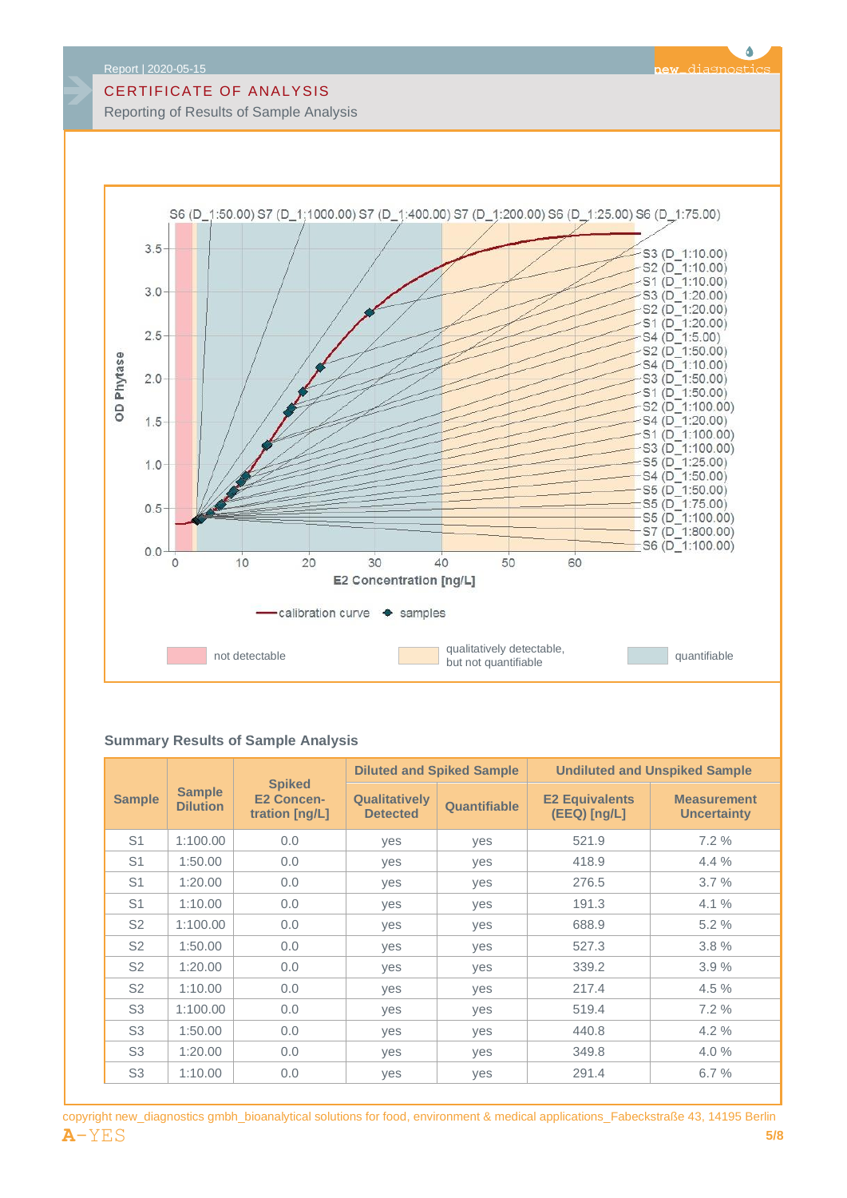Reporting of Results of Sample Analysis



#### **Summary Results of Sample Analysis**

|                |                                  | <b>Spiked</b><br><b>E2 Concen-</b><br>tration [ng/L] |                                         | <b>Diluted and Spiked Sample</b> | <b>Undiluted and Unspiked Sample</b>  |                                          |  |
|----------------|----------------------------------|------------------------------------------------------|-----------------------------------------|----------------------------------|---------------------------------------|------------------------------------------|--|
| <b>Sample</b>  | <b>Sample</b><br><b>Dilution</b> |                                                      | <b>Qualitatively</b><br><b>Detected</b> | Quantifiable                     | <b>E2 Equivalents</b><br>(EEQ) [ng/L] | <b>Measurement</b><br><b>Uncertainty</b> |  |
| S <sub>1</sub> | 1:100.00                         | 0.0                                                  | ves                                     | <b>ves</b>                       | 521.9                                 | 7.2 %                                    |  |
| S <sub>1</sub> | 1:50.00                          | 0.0                                                  | yes                                     | yes                              | 418.9                                 | $4.4\%$                                  |  |
| S <sub>1</sub> | 1:20.00                          | 0.0                                                  | ves                                     | yes                              | 276.5                                 | 3.7%                                     |  |
| S <sub>1</sub> | 1:10.00                          | 0.0                                                  | yes                                     | yes                              | 191.3                                 | $4.1\%$                                  |  |
| S <sub>2</sub> | 1:100.00                         | 0.0                                                  | ves                                     | yes                              | 688.9                                 | 5.2%                                     |  |
| S <sub>2</sub> | 1:50.00                          | 0.0                                                  | yes                                     | yes                              | 527.3                                 | 3.8%                                     |  |
| S <sub>2</sub> | 1:20.00                          | 0.0                                                  | yes                                     | yes                              | 339.2                                 | 3.9%                                     |  |
| S <sub>2</sub> | 1:10.00                          | 0.0                                                  | yes                                     | yes                              | 217.4                                 | 4.5 %                                    |  |
| S <sub>3</sub> | 1:100.00                         | 0.0                                                  | yes                                     | yes                              | 519.4                                 | 7.2%                                     |  |
| S <sub>3</sub> | 1:50.00                          | 0.0                                                  | yes                                     | yes                              | 440.8                                 | 4.2%                                     |  |
| S <sub>3</sub> | 1:20.00                          | 0.0                                                  | yes                                     | yes                              | 349.8                                 | 4.0%                                     |  |
| S <sub>3</sub> | 1:10.00                          | 0.0                                                  | yes                                     | yes                              | 291.4                                 | 6.7%                                     |  |

#### Ô ew diagnostic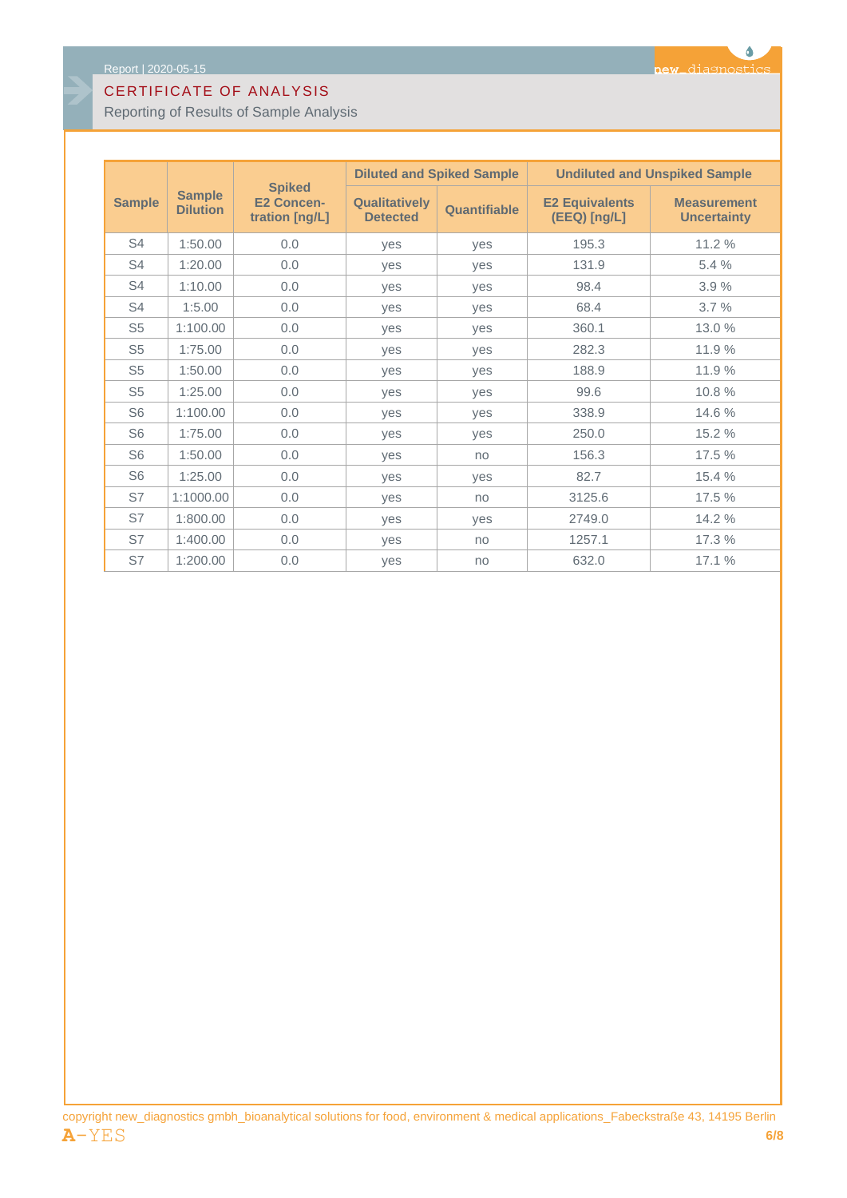Reporting of Results of Sample Analysis

|                |                                  |                                                      |                                         | <b>Diluted and Spiked Sample</b> | <b>Undiluted and Unspiked Sample</b>  |                                          |  |
|----------------|----------------------------------|------------------------------------------------------|-----------------------------------------|----------------------------------|---------------------------------------|------------------------------------------|--|
| <b>Sample</b>  | <b>Sample</b><br><b>Dilution</b> | <b>Spiked</b><br><b>E2 Concen-</b><br>tration [ng/L] | <b>Qualitatively</b><br><b>Detected</b> | Quantifiable                     | <b>E2 Equivalents</b><br>(EEQ) [ng/L] | <b>Measurement</b><br><b>Uncertainty</b> |  |
| S4             | 1:50.00                          | 0.0                                                  | yes                                     | yes                              | 195.3                                 | 11.2 %                                   |  |
| S4             | 1:20.00                          | 0.0                                                  | ves                                     | ves                              | 131.9                                 | 5.4%                                     |  |
| S <sub>4</sub> | 1:10.00                          | 0.0                                                  | ves                                     | yes                              | 98.4                                  | 3.9%                                     |  |
| S4             | 1:5.00                           | 0.0                                                  | yes                                     | yes                              | 68.4                                  | 3.7%                                     |  |
| S <sub>5</sub> | 1:100.00                         | 0.0                                                  | ves                                     | <b>ves</b>                       | 360.1                                 | 13.0 %                                   |  |
| S <sub>5</sub> | 1:75.00                          | 0.0                                                  | <b>ves</b>                              | <b>ves</b>                       | 282.3                                 | 11.9%                                    |  |
| S <sub>5</sub> | 1:50.00                          | 0.0                                                  | ves                                     | ves                              | 188.9                                 | 11.9%                                    |  |
| S <sub>5</sub> | 1:25.00                          | 0.0                                                  | <b>ves</b>                              | yes                              | 99.6                                  | 10.8%                                    |  |
| S <sub>6</sub> | 1:100.00                         | 0.0                                                  | yes                                     | yes                              | 338.9                                 | 14.6 %                                   |  |
| S <sub>6</sub> | 1:75.00                          | 0.0                                                  | yes                                     | yes                              | 250.0                                 | 15.2 %                                   |  |
| S <sub>6</sub> | 1:50.00                          | 0.0                                                  | yes                                     | no                               | 156.3                                 | 17.5 %                                   |  |
| S <sub>6</sub> | 1:25.00                          | 0.0                                                  | yes                                     | yes                              | 82.7                                  | 15.4 %                                   |  |
| S7             | 1:1000.00                        | 0.0                                                  | yes                                     | no                               | 3125.6                                | 17.5 %                                   |  |
| S7             | 1:800.00                         | 0.0                                                  | yes                                     | yes                              | 2749.0                                | 14.2 %                                   |  |
| S7             | 1:400.00                         | 0.0                                                  | <b>ves</b>                              | no                               | 1257.1                                | 17.3 %                                   |  |
| S7             | 1:200.00                         | 0.0                                                  | ves                                     | no                               | 632.0                                 | 17.1%                                    |  |

copyright new\_diagnostics gmbh\_bioanalytical solutions for food, environment & medical applications\_Fabeckstraße 43, 14195 Berlin **A**-YES **6/8**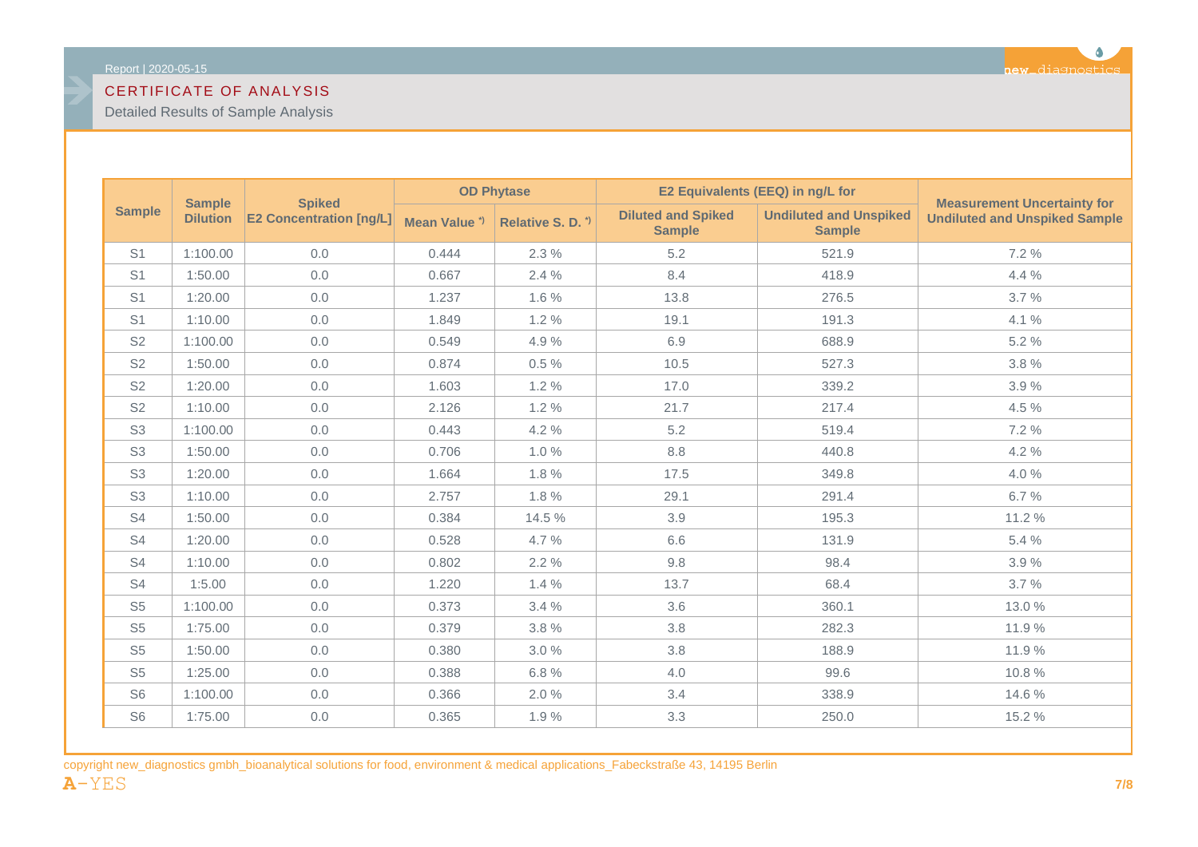Detailed Results of Sample Analysis

| <b>Sample</b>  |                 | <b>Spiked</b>                  | <b>OD Phytase</b>       |                   | E2 Equivalents (EEQ) in ng/L for           |                                                |                                                                            |
|----------------|-----------------|--------------------------------|-------------------------|-------------------|--------------------------------------------|------------------------------------------------|----------------------------------------------------------------------------|
| <b>Sample</b>  | <b>Dilution</b> | <b>E2 Concentration [ng/L]</b> | Mean Value <sup>*</sup> | Relative S. D. *) | <b>Diluted and Spiked</b><br><b>Sample</b> | <b>Undiluted and Unspiked</b><br><b>Sample</b> | <b>Measurement Uncertainty for</b><br><b>Undiluted and Unspiked Sample</b> |
| S <sub>1</sub> | 1:100.00        | 0.0                            | 0.444                   | 2.3%              | 5.2                                        | 521.9                                          | 7.2 %                                                                      |
| S <sub>1</sub> | 1:50.00         | 0.0                            | 0.667                   | 2.4%              | 8.4                                        | 418.9                                          | 4.4 %                                                                      |
| S <sub>1</sub> | 1:20.00         | 0.0                            | 1.237                   | $1.6\%$           | 13.8                                       | 276.5                                          | 3.7%                                                                       |
| S <sub>1</sub> | 1:10.00         | 0.0                            | 1.849                   | 1.2%              | 19.1                                       | 191.3                                          | 4.1%                                                                       |
| S <sub>2</sub> | 1:100.00        | 0.0                            | 0.549                   | 4.9%              | 6.9                                        | 688.9                                          | 5.2 %                                                                      |
| S <sub>2</sub> | 1:50.00         | 0.0                            | 0.874                   | $0.5\%$           | 10.5                                       | 527.3                                          | 3.8%                                                                       |
| S <sub>2</sub> | 1:20.00         | 0.0                            | 1.603                   | 1.2%              | 17.0                                       | 339.2                                          | 3.9%                                                                       |
| S <sub>2</sub> | 1:10.00         | 0.0                            | 2.126                   | 1.2%              | 21.7                                       | 217.4                                          | 4.5 %                                                                      |
| S <sub>3</sub> | 1:100.00        | 0.0                            | 0.443                   | 4.2%              | 5.2                                        | 519.4                                          | 7.2 %                                                                      |
| S <sub>3</sub> | 1:50.00         | 0.0                            | 0.706                   | 1.0%              | 8.8                                        | 440.8                                          | 4.2 %                                                                      |
| S <sub>3</sub> | 1:20.00         | 0.0                            | 1.664                   | 1.8%              | 17.5                                       | 349.8                                          | 4.0%                                                                       |
| S <sub>3</sub> | 1:10.00         | 0.0                            | 2.757                   | 1.8%              | 29.1                                       | 291.4                                          | 6.7%                                                                       |
| S <sub>4</sub> | 1:50.00         | 0.0                            | 0.384                   | 14.5 %            | 3.9                                        | 195.3                                          | 11.2 %                                                                     |
| S <sub>4</sub> | 1:20.00         | 0.0                            | 0.528                   | 4.7%              | 6.6                                        | 131.9                                          | 5.4 %                                                                      |
| S <sub>4</sub> | 1:10.00         | 0.0                            | 0.802                   | 2.2%              | 9.8                                        | 98.4                                           | 3.9%                                                                       |
| S <sub>4</sub> | 1:5.00          | 0.0                            | 1.220                   | 1.4%              | 13.7                                       | 68.4                                           | 3.7%                                                                       |
| S <sub>5</sub> | 1:100.00        | 0.0                            | 0.373                   | 3.4%              | 3.6                                        | 360.1                                          | 13.0 %                                                                     |
| S <sub>5</sub> | 1:75.00         | 0.0                            | 0.379                   | 3.8%              | 3.8                                        | 282.3                                          | 11.9%                                                                      |
| S <sub>5</sub> | 1:50.00         | 0.0                            | 0.380                   | 3.0%              | 3.8                                        | 188.9                                          | 11.9%                                                                      |
| S <sub>5</sub> | 1:25.00         | 0.0                            | 0.388                   | 6.8%              | 4.0                                        | 99.6                                           | 10.8%                                                                      |
| S <sub>6</sub> | 1:100.00        | 0.0                            | 0.366                   | 2.0%              | 3.4                                        | 338.9                                          | 14.6 %                                                                     |
| S <sub>6</sub> | 1:75.00         | 0.0                            | 0.365                   | 1.9%              | 3.3                                        | 250.0                                          | 15.2 %                                                                     |

copyright new\_diagnostics gmbh\_bioanalytical solutions for food, environment & medical applications\_Fabeckstraße 43, 14195 Berlin